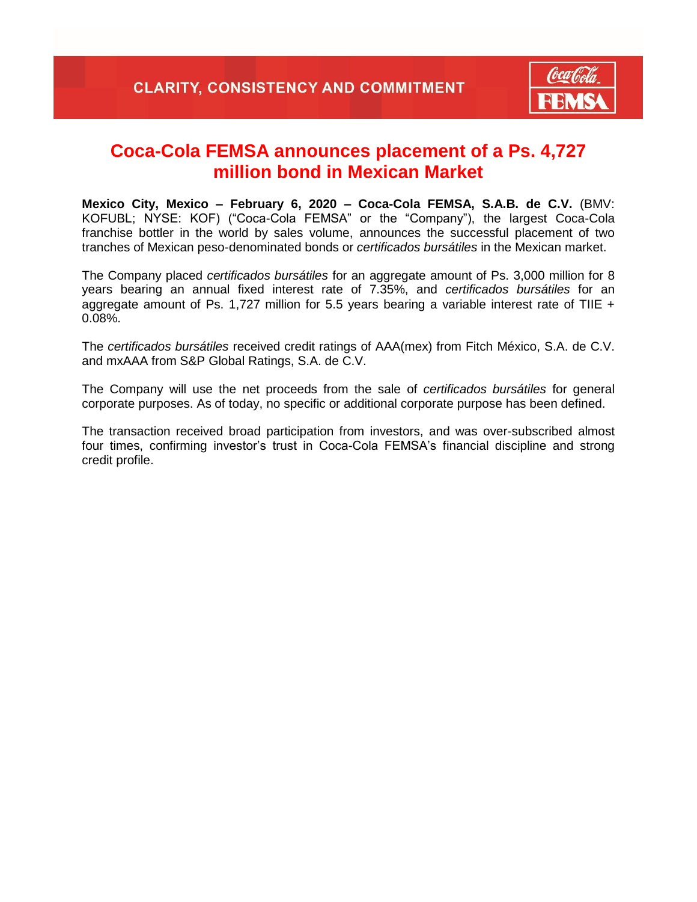

## **Coca-Cola FEMSA announces placement of a Ps. 4,727 million bond in Mexican Market**

**Mexico City, Mexico – February 6, 2020 – Coca-Cola FEMSA, S.A.B. de C.V.** (BMV: KOFUBL; NYSE: KOF) ("Coca-Cola FEMSA" or the "Company"), the largest Coca-Cola franchise bottler in the world by sales volume, announces the successful placement of two tranches of Mexican peso-denominated bonds or *certificados bursátiles* in the Mexican market.

The Company placed *certificados bursátiles* for an aggregate amount of Ps. 3,000 million for 8 years bearing an annual fixed interest rate of 7.35%, and *certificados bursátiles* for an aggregate amount of Ps. 1,727 million for 5.5 years bearing a variable interest rate of TIIE  $+$ 0.08%.

The *certificados bursátiles* received credit ratings of AAA(mex) from Fitch México, S.A. de C.V. and mxAAA from S&P Global Ratings, S.A. de C.V.

The Company will use the net proceeds from the sale of *certificados bursátiles* for general corporate purposes. As of today, no specific or additional corporate purpose has been defined.

The transaction received broad participation from investors, and was over-subscribed almost four times, confirming investor's trust in Coca-Cola FEMSA's financial discipline and strong credit profile.